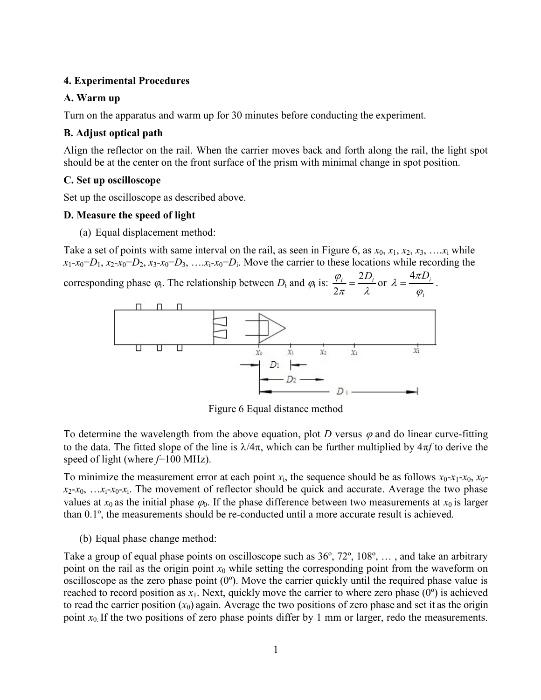### 4. Experimental Procedures

## A. Warm up

Turn on the apparatus and warm up for 30 minutes before conducting the experiment.

# B. Adjust optical path

Align the reflector on the rail. When the carrier moves back and forth along the rail, the light spot should be at the center on the front surface of the prism with minimal change in spot position.

# C. Set up oscilloscope

Set up the oscilloscope as described above.

## D. Measure the speed of light

(a) Equal displacement method:

Take a set of points with same interval on the rail, as seen in Figure 6, as  $x_0, x_1, x_2, x_3, \ldots, x_i$  while  $x_1-x_0=D_1$ ,  $x_2-x_0=D_2$ ,  $x_3-x_0=D_3$ ,  $\dots x_i-x_0=D_i$ . Move the carrier to these locations while recording the

corresponding phase  $\varphi$ . The relationship between  $D_i$  and  $\varphi_i$  is:  $\frac{\varphi_i}{2\pi} = \frac{2D}{\lambda}$  $\varphi_i$   $_2D_i$  $\overline{2}$  $=\frac{2D_i}{r}$  or  $D_i$  $\varphi_i$  $\lambda = \frac{4\pi D_i}{\mu}$ .



Figure 6 Equal distance method

To determine the wavelength from the above equation, plot D versus  $\varphi$  and do linear curve-fitting to the data. The fitted slope of the line is  $\lambda/4\pi$ , which can be further multiplied by  $4\pi f$  to derive the speed of light (where  $f=100$  MHz).

To minimize the measurement error at each point  $x_i$ , the sequence should be as follows  $x_0$ - $x_1$ - $x_0$ ,  $x_0$  $x_2-x_0, \ldots x_i-x_0-x_i$ . The movement of reflector should be quick and accurate. Average the two phase values at  $x_0$  as the initial phase  $\varphi_0$ . If the phase difference between two measurements at  $x_0$  is larger than 0.1º, the measurements should be re-conducted until a more accurate result is achieved.

(b) Equal phase change method:

Take a group of equal phase points on oscilloscope such as 36º, 72º, 108º, … , and take an arbitrary point on the rail as the origin point  $x_0$  while setting the corresponding point from the waveform on oscilloscope as the zero phase point (0º). Move the carrier quickly until the required phase value is reached to record position as  $x_1$ . Next, quickly move the carrier to where zero phase (0<sup>o</sup>) is achieved to read the carrier position  $(x_0)$  again. Average the two positions of zero phase and set it as the origin point  $x_0$ . If the two positions of zero phase points differ by 1 mm or larger, redo the measurements.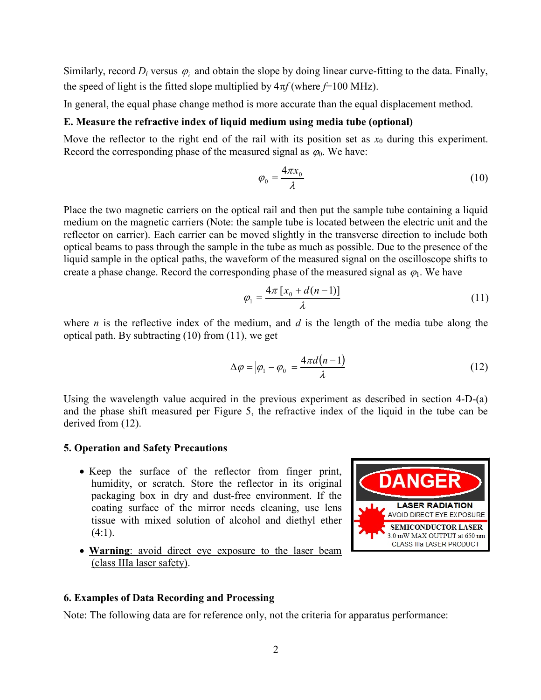Similarly, record  $D_i$  versus  $\varphi_i$  and obtain the slope by doing linear curve-fitting to the data. Finally, the speed of light is the fitted slope multiplied by  $4\pi f$  (where  $f=100$  MHz).

In general, the equal phase change method is more accurate than the equal displacement method.

#### E. Measure the refractive index of liquid medium using media tube (optional)

Move the reflector to the right end of the rail with its position set as  $x_0$  during this experiment. Record the corresponding phase of the measured signal as  $\varphi_0$ . We have:

$$
\varphi_0 = \frac{4\pi x_0}{\lambda} \tag{10}
$$

Place the two magnetic carriers on the optical rail and then put the sample tube containing a liquid medium on the magnetic carriers (Note: the sample tube is located between the electric unit and the reflector on carrier). Each carrier can be moved slightly in the transverse direction to include both optical beams to pass through the sample in the tube as much as possible. Due to the presence of the liquid sample in the optical paths, the waveform of the measured signal on the oscilloscope shifts to create a phase change. Record the corresponding phase of the measured signal as  $\varphi_1$ . We have

$$
\varphi_1 = \frac{4\pi \left[ x_0 + d(n-1) \right]}{\lambda} \tag{11}
$$

where *n* is the reflective index of the medium, and *d* is the length of the media tube along the optical path. By subtracting (10) from (11), we get

$$
\Delta \varphi = |\varphi_1 - \varphi_0| = \frac{4\pi d(n-1)}{\lambda} \tag{12}
$$

Using the wavelength value acquired in the previous experiment as described in section 4-D-(a) and the phase shift measured per Figure 5, the refractive index of the liquid in the tube can be derived from (12).

#### 5. Operation and Safety Precautions

- Keep the surface of the reflector from finger print, humidity, or scratch. Store the reflector in its original packaging box in dry and dust-free environment. If the coating surface of the mirror needs cleaning, use lens tissue with mixed solution of alcohol and diethyl ether  $(4:1)$ .
- Warning: avoid direct eye exposure to the laser beam (class IIIa laser safety).



Note: The following data are for reference only, not the criteria for apparatus performance: